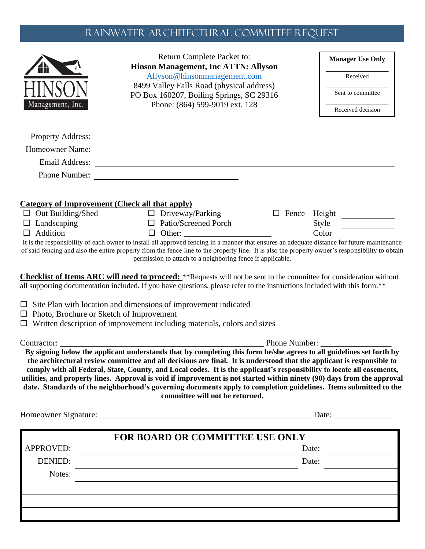## Rainwater ARCHITECTURAL COMMITTEE REQUEST

| Allyson@hinsonmanagement.com<br>Received<br>8499 Valley Falls Road (physical address)<br>Sent to committee<br>PO Box 160207, Boiling Springs, SC 29316<br>Phone: (864) 599-9019 ext. 128<br>Management, Inc.<br>Received decision<br>Homeowner Name:<br>Email Address: New York Channels and Address and Address and Address and Address and Address and Address and A<br>Phone Number:<br>$\Box$ Driveway/Parking<br>□ Fence Height <u>________</u><br>$\Box$ Patio/Screened Porch<br>Style<br>Color<br>$\Box$ Addition<br>$\Box$<br>permission to attach to a neighboring fence if applicable.<br>Phone Number:<br>By signing below the applicant understands that by completing this form he/she agrees to all guidelines set forth by<br>the architectural review committee and all decisions are final. It is understood that the applicant is responsible to<br>comply with all Federal, State, County, and Local codes. It is the applicant's responsibility to locate all easements,<br>date. Standards of the neighborhood's governing documents apply to completion guidelines. Items submitted to the<br>committee will not be returned.<br>Date:<br><b>FOR BOARD OR COMMITTEE USE ONLY</b><br>APPROVED:<br>Date:<br><b>DENIED:</b><br>Date:<br>Notes: | Return Complete Packet to:<br><b>Hinson Management, Inc ATTN: Allyson</b> | <b>Manager Use Only</b> |
|-------------------------------------------------------------------------------------------------------------------------------------------------------------------------------------------------------------------------------------------------------------------------------------------------------------------------------------------------------------------------------------------------------------------------------------------------------------------------------------------------------------------------------------------------------------------------------------------------------------------------------------------------------------------------------------------------------------------------------------------------------------------------------------------------------------------------------------------------------------------------------------------------------------------------------------------------------------------------------------------------------------------------------------------------------------------------------------------------------------------------------------------------------------------------------------------------------------------------------------------------------------------|---------------------------------------------------------------------------|-------------------------|
|                                                                                                                                                                                                                                                                                                                                                                                                                                                                                                                                                                                                                                                                                                                                                                                                                                                                                                                                                                                                                                                                                                                                                                                                                                                                   |                                                                           |                         |
| $\Box$ Landscaping                                                                                                                                                                                                                                                                                                                                                                                                                                                                                                                                                                                                                                                                                                                                                                                                                                                                                                                                                                                                                                                                                                                                                                                                                                                |                                                                           |                         |
| $\Box$ Out Building/Shed<br>It is the responsibility of each owner to install all approved fencing in a manner that ensures an adequate distance for future maintenance<br>utilities, and property lines. Approval is void if improvement is not started within ninety (90) days from the approval                                                                                                                                                                                                                                                                                                                                                                                                                                                                                                                                                                                                                                                                                                                                                                                                                                                                                                                                                                |                                                                           |                         |
|                                                                                                                                                                                                                                                                                                                                                                                                                                                                                                                                                                                                                                                                                                                                                                                                                                                                                                                                                                                                                                                                                                                                                                                                                                                                   |                                                                           |                         |
|                                                                                                                                                                                                                                                                                                                                                                                                                                                                                                                                                                                                                                                                                                                                                                                                                                                                                                                                                                                                                                                                                                                                                                                                                                                                   |                                                                           |                         |
|                                                                                                                                                                                                                                                                                                                                                                                                                                                                                                                                                                                                                                                                                                                                                                                                                                                                                                                                                                                                                                                                                                                                                                                                                                                                   |                                                                           |                         |
| <b>Category of Improvement (Check all that apply)</b><br>of said fencing and also the entire property from the fence line to the property line. It is also the property owner's responsibility to obtain<br>Checklist of Items ARC will need to proceed: **Requests will not be sent to the committee for consideration without<br>all supporting documentation included. If you have questions, please refer to the instructions included with this form.**<br>$\Box$ Site Plan with location and dimensions of improvement indicated<br>□ Photo, Brochure or Sketch of Improvement<br>$\Box$ Written description of improvement including materials, colors and sizes<br>Contractor: _                                                                                                                                                                                                                                                                                                                                                                                                                                                                                                                                                                          |                                                                           |                         |
|                                                                                                                                                                                                                                                                                                                                                                                                                                                                                                                                                                                                                                                                                                                                                                                                                                                                                                                                                                                                                                                                                                                                                                                                                                                                   |                                                                           |                         |
|                                                                                                                                                                                                                                                                                                                                                                                                                                                                                                                                                                                                                                                                                                                                                                                                                                                                                                                                                                                                                                                                                                                                                                                                                                                                   |                                                                           |                         |
|                                                                                                                                                                                                                                                                                                                                                                                                                                                                                                                                                                                                                                                                                                                                                                                                                                                                                                                                                                                                                                                                                                                                                                                                                                                                   |                                                                           |                         |
|                                                                                                                                                                                                                                                                                                                                                                                                                                                                                                                                                                                                                                                                                                                                                                                                                                                                                                                                                                                                                                                                                                                                                                                                                                                                   |                                                                           |                         |
|                                                                                                                                                                                                                                                                                                                                                                                                                                                                                                                                                                                                                                                                                                                                                                                                                                                                                                                                                                                                                                                                                                                                                                                                                                                                   |                                                                           |                         |
|                                                                                                                                                                                                                                                                                                                                                                                                                                                                                                                                                                                                                                                                                                                                                                                                                                                                                                                                                                                                                                                                                                                                                                                                                                                                   |                                                                           |                         |
|                                                                                                                                                                                                                                                                                                                                                                                                                                                                                                                                                                                                                                                                                                                                                                                                                                                                                                                                                                                                                                                                                                                                                                                                                                                                   |                                                                           |                         |
|                                                                                                                                                                                                                                                                                                                                                                                                                                                                                                                                                                                                                                                                                                                                                                                                                                                                                                                                                                                                                                                                                                                                                                                                                                                                   |                                                                           |                         |
|                                                                                                                                                                                                                                                                                                                                                                                                                                                                                                                                                                                                                                                                                                                                                                                                                                                                                                                                                                                                                                                                                                                                                                                                                                                                   |                                                                           |                         |
|                                                                                                                                                                                                                                                                                                                                                                                                                                                                                                                                                                                                                                                                                                                                                                                                                                                                                                                                                                                                                                                                                                                                                                                                                                                                   |                                                                           |                         |
|                                                                                                                                                                                                                                                                                                                                                                                                                                                                                                                                                                                                                                                                                                                                                                                                                                                                                                                                                                                                                                                                                                                                                                                                                                                                   |                                                                           |                         |
|                                                                                                                                                                                                                                                                                                                                                                                                                                                                                                                                                                                                                                                                                                                                                                                                                                                                                                                                                                                                                                                                                                                                                                                                                                                                   |                                                                           |                         |
|                                                                                                                                                                                                                                                                                                                                                                                                                                                                                                                                                                                                                                                                                                                                                                                                                                                                                                                                                                                                                                                                                                                                                                                                                                                                   |                                                                           |                         |
|                                                                                                                                                                                                                                                                                                                                                                                                                                                                                                                                                                                                                                                                                                                                                                                                                                                                                                                                                                                                                                                                                                                                                                                                                                                                   |                                                                           |                         |
|                                                                                                                                                                                                                                                                                                                                                                                                                                                                                                                                                                                                                                                                                                                                                                                                                                                                                                                                                                                                                                                                                                                                                                                                                                                                   |                                                                           |                         |
|                                                                                                                                                                                                                                                                                                                                                                                                                                                                                                                                                                                                                                                                                                                                                                                                                                                                                                                                                                                                                                                                                                                                                                                                                                                                   |                                                                           |                         |
|                                                                                                                                                                                                                                                                                                                                                                                                                                                                                                                                                                                                                                                                                                                                                                                                                                                                                                                                                                                                                                                                                                                                                                                                                                                                   |                                                                           |                         |
|                                                                                                                                                                                                                                                                                                                                                                                                                                                                                                                                                                                                                                                                                                                                                                                                                                                                                                                                                                                                                                                                                                                                                                                                                                                                   |                                                                           |                         |
|                                                                                                                                                                                                                                                                                                                                                                                                                                                                                                                                                                                                                                                                                                                                                                                                                                                                                                                                                                                                                                                                                                                                                                                                                                                                   |                                                                           |                         |
|                                                                                                                                                                                                                                                                                                                                                                                                                                                                                                                                                                                                                                                                                                                                                                                                                                                                                                                                                                                                                                                                                                                                                                                                                                                                   |                                                                           |                         |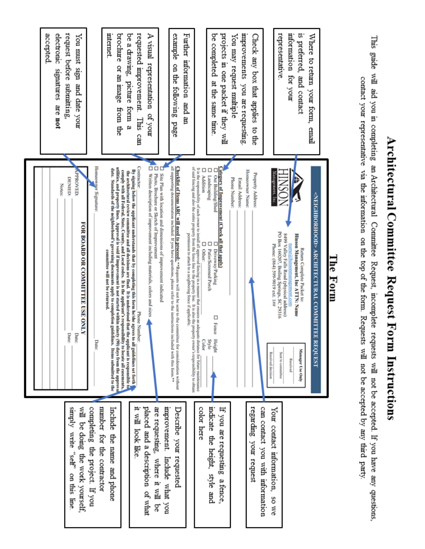|                                                                               | Notes:                                                                                                                                                                                                                                                                                                                                                                                                   | accepted<br>electronic<br>samatures<br>are not                           |
|-------------------------------------------------------------------------------|----------------------------------------------------------------------------------------------------------------------------------------------------------------------------------------------------------------------------------------------------------------------------------------------------------------------------------------------------------------------------------------------------------|--------------------------------------------------------------------------|
| will be doing the work yourself.<br>kiduus<br>write<br>"self"<br>on this line | PPROVED:<br><b>DENIED:</b><br>FOR BOARD OR COMMITTEE USE ONLY<br>Date:<br>Date:                                                                                                                                                                                                                                                                                                                          | request before submitting.<br>You must sign<br>and date your             |
| completing the project. If you                                                | Homeowner Signature:<br><b>Date:</b>                                                                                                                                                                                                                                                                                                                                                                     |                                                                          |
| number for the contractor<br>Include<br>the name and phone                    | utilities, and property lines. Approval is void if improvement is not started within ninety (90) days from the approval<br>date. Standards of the neighborhood's governing documents apply to completion guidelines. Items submitted to the<br>comply with all Federal, State, County, and Local codes. It is the applicant's responsibility to locate all casements,<br>committee will not be returned. | internet<br>brochure or an image<br>from the                             |
| 부스<br>look like                                                               | Contractor:<br>By signing below the applicant understands that by completing this form he/she agrees to all guidelines set forth<br>the architectural review committee and all decisions are final. It is understood that the applicant is responsible to<br>Phone Number:                                                                                                                               | requested improvement.<br>be a drawing.<br>picture form<br>This can<br>ø |
| are requesting.<br>placed and a description of what<br>where it will<br>ă     | őά<br>Written description of improvement including materials, colors and sizes<br>Photo, Brochure or Sketch of Improvement                                                                                                                                                                                                                                                                               | A visual<br>representation<br>mo/ fo                                     |
| mprovement.<br>Describe your requested<br>Include what you                    | all supporting documentation included. If you have questions, please refer to the instructions included with this form.**<br><b>Checklist of Hems ARC will need to proceed:</b> "Requests will not be sent to the committee for consideration without<br>D<br>Site Plan with location and dimensions of improvement indicated                                                                            | example<br>on the following<br>page                                      |
|                                                                               | of said fencing and also the entire property from the fence line to the property line. It is also the property owner's responsibility to obtain<br>permission to attach to a neighboring fence if applicable.                                                                                                                                                                                            | Further information<br>and an                                            |
| indicate the height, style and<br>color here                                  | It is the responsibility of each owner to install all approved fencing in a manner that ensures an adequate distance for future maintenance<br>Ο<br>□<br>ο<br><b>Addition</b><br>Landscaping<br>Out Building/Shed<br>Ω<br>□<br>Ω<br>Patio/Screened Porch<br>Other:<br>Driveway/Parking<br>$\Box$ Fence<br>Style<br>Color<br>Height                                                                       | be completed<br>at the same time                                         |
| If you are requesting<br>a fence,                                             | Category of Improvement (Check all that apply)                                                                                                                                                                                                                                                                                                                                                           | projects in one packet if they will                                      |
|                                                                               | Phone Number:<br>Email Address:                                                                                                                                                                                                                                                                                                                                                                          | improvements you are requesting<br>You may request multiple              |
| regarding your request                                                        | Homeowner Name:<br><b>Property Address:</b>                                                                                                                                                                                                                                                                                                                                                              | Check any box that applies<br>to the                                     |
| can contact you with information<br>Your contact information,<br>SO We        | Management,<br>Phone: (864) 599-9019 ext. 1##<br><b>Received decision</b>                                                                                                                                                                                                                                                                                                                                |                                                                          |
|                                                                               | PO Box 160207, Boiling Springs, SC 29316<br>8499 Valley Falls Road (physical address)<br>Sent to communice                                                                                                                                                                                                                                                                                               | representative                                                           |
|                                                                               | Hinson Management, Inc ATTIN: Name<br>name a hinsonmanagement, com<br>Return Complete Packet to:<br>Manager Use Only<br>Received                                                                                                                                                                                                                                                                         | information for your<br>is preferred, and contact                        |
|                                                                               | <neighborhood> ARCHITECTURAL COMMITTE<br/><b>REQUEST</b></neighborhood>                                                                                                                                                                                                                                                                                                                                  | Where to return<br>your form,<br>final                                   |
|                                                                               | Гhe<br>Form                                                                                                                                                                                                                                                                                                                                                                                              |                                                                          |
|                                                                               |                                                                                                                                                                                                                                                                                                                                                                                                          |                                                                          |
| will not be accepted. If you have any questions,                              | contact your representative via the information on the top of the form. Requests will not be accepted by any third party<br>Committee<br>Request, incomplete requests                                                                                                                                                                                                                                    | This guide will aid you in completing an Architectural                   |

Architectural Committee Request Form Instructions